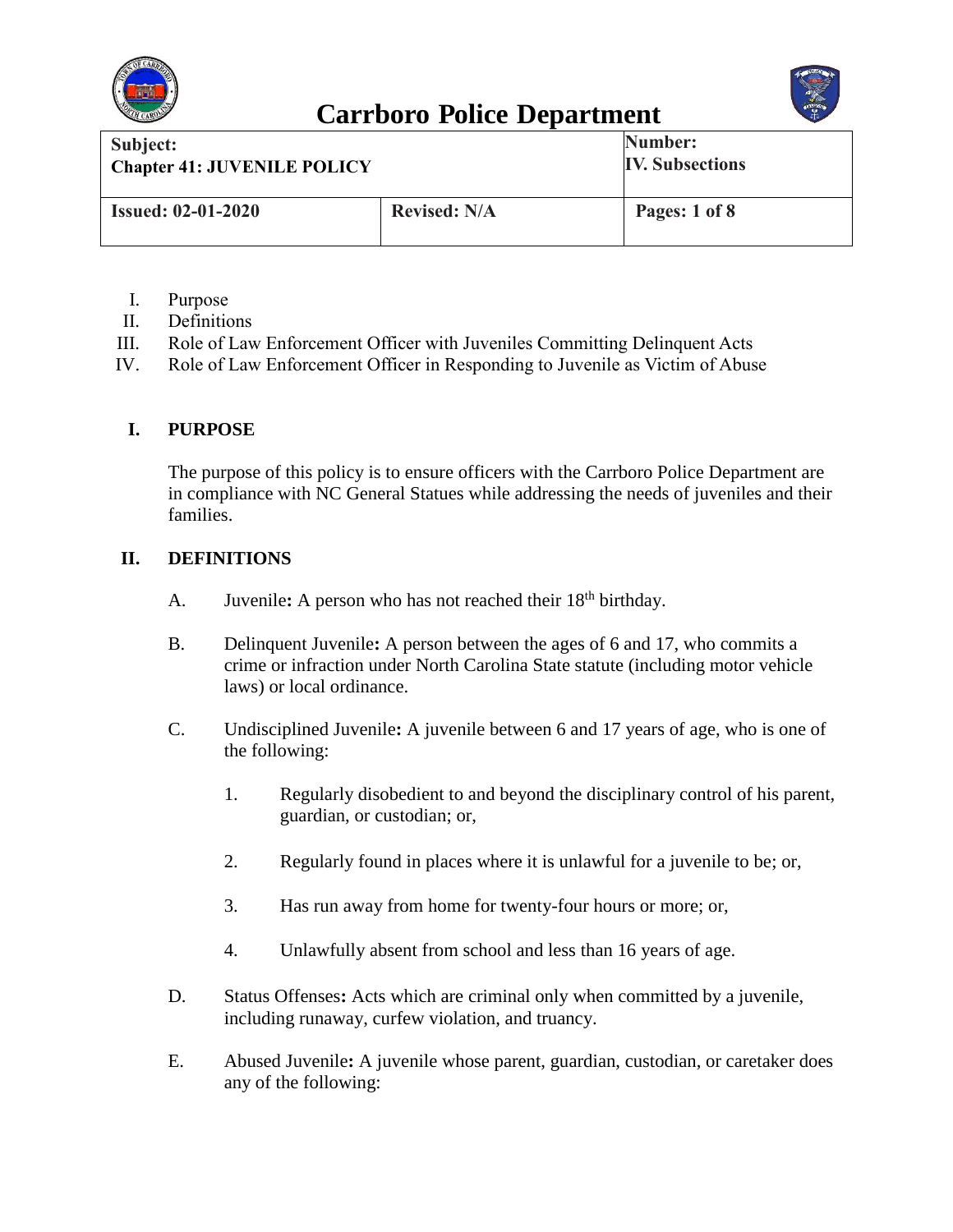



| Subject:<br><b>Chapter 41: JUVENILE POLICY</b> |                     | Number:<br><b>IV. Subsections</b> |
|------------------------------------------------|---------------------|-----------------------------------|
| <b>Issued: 02-01-2020</b>                      | <b>Revised: N/A</b> | Pages: 1 of 8                     |

- I. Purpose
- II. Definitions
- III. Role of Law Enforcement Officer with Juveniles Committing Delinquent Acts
- IV. Role of Law Enforcement Officer in Responding to Juvenile as Victim of Abuse

#### **I. PURPOSE**

The purpose of this policy is to ensure officers with the Carrboro Police Department are in compliance with NC General Statues while addressing the needs of juveniles and their families.

#### **II. DEFINITIONS**

- A. Juvenile: A person who has not reached their 18<sup>th</sup> birthday.
- B. Delinquent Juvenile**:** A person between the ages of 6 and 17, who commits a crime or infraction under North Carolina State statute (including motor vehicle laws) or local ordinance.
- C. Undisciplined Juvenile**:** A juvenile between 6 and 17 years of age, who is one of the following:
	- 1. Regularly disobedient to and beyond the disciplinary control of his parent, guardian, or custodian; or,
	- 2. Regularly found in places where it is unlawful for a juvenile to be; or,
	- 3. Has run away from home for twenty-four hours or more; or,
	- 4. Unlawfully absent from school and less than 16 years of age.
- D. Status Offenses**:** Acts which are criminal only when committed by a juvenile, including runaway, curfew violation, and truancy.
- E. Abused Juvenile**:** A juvenile whose parent, guardian, custodian, or caretaker does any of the following: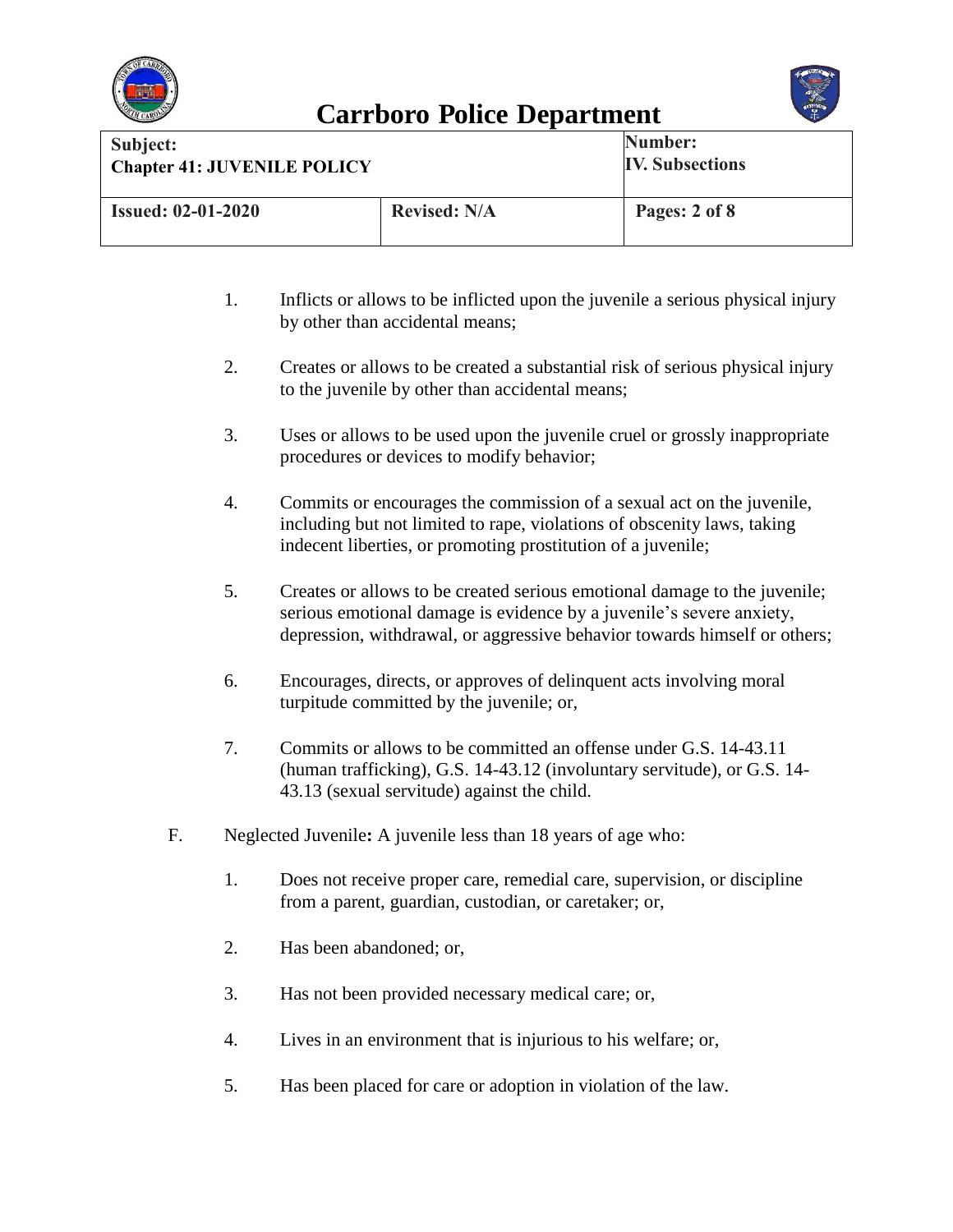



| Subject:<br><b>Chapter 41: JUVENILE POLICY</b> |                     | Number:<br><b>IV. Subsections</b> |
|------------------------------------------------|---------------------|-----------------------------------|
| <b>Issued: 02-01-2020</b>                      | <b>Revised: N/A</b> | Pages: 2 of 8                     |

- 1. Inflicts or allows to be inflicted upon the juvenile a serious physical injury by other than accidental means;
- 2. Creates or allows to be created a substantial risk of serious physical injury to the juvenile by other than accidental means;
- 3. Uses or allows to be used upon the juvenile cruel or grossly inappropriate procedures or devices to modify behavior;
- 4. Commits or encourages the commission of a sexual act on the juvenile, including but not limited to rape, violations of obscenity laws, taking indecent liberties, or promoting prostitution of a juvenile;
- 5. Creates or allows to be created serious emotional damage to the juvenile; serious emotional damage is evidence by a juvenile's severe anxiety, depression, withdrawal, or aggressive behavior towards himself or others;
- 6. Encourages, directs, or approves of delinquent acts involving moral turpitude committed by the juvenile; or,
- 7. Commits or allows to be committed an offense under G.S. 14-43.11 (human trafficking), G.S. 14-43.12 (involuntary servitude), or G.S. 14- 43.13 (sexual servitude) against the child.
- F. Neglected Juvenile**:** A juvenile less than 18 years of age who:
	- 1. Does not receive proper care, remedial care, supervision, or discipline from a parent, guardian, custodian, or caretaker; or,
	- 2. Has been abandoned; or,
	- 3. Has not been provided necessary medical care; or,
	- 4. Lives in an environment that is injurious to his welfare; or,
	- 5. Has been placed for care or adoption in violation of the law.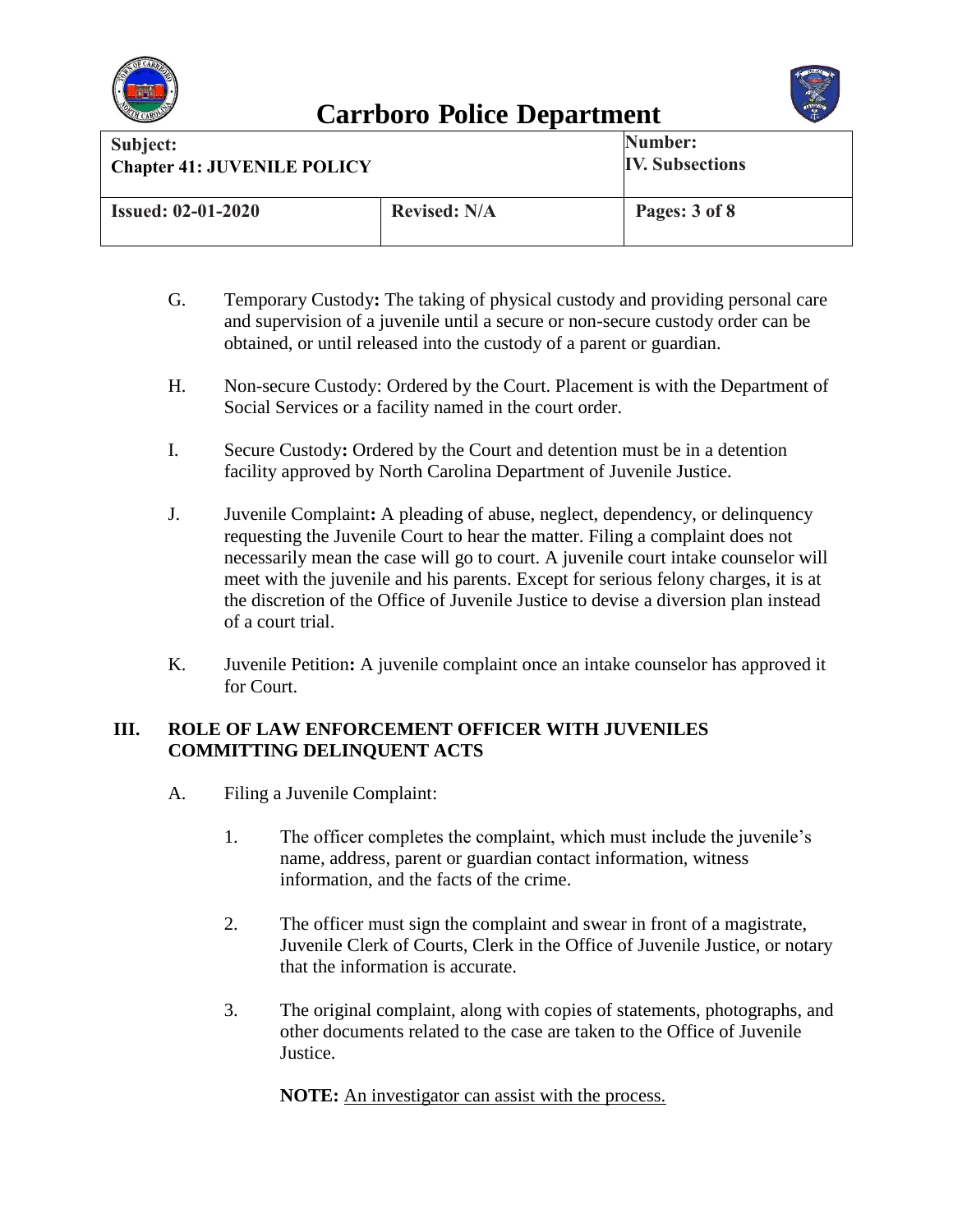



| Subject:                           |                     | Number:                |
|------------------------------------|---------------------|------------------------|
| <b>Chapter 41: JUVENILE POLICY</b> |                     | <b>IV. Subsections</b> |
| <b>Issued: 02-01-2020</b>          | <b>Revised: N/A</b> | Pages: 3 of 8          |

- G. Temporary Custody**:** The taking of physical custody and providing personal care and supervision of a juvenile until a secure or non-secure custody order can be obtained, or until released into the custody of a parent or guardian.
- H. Non-secure Custody: Ordered by the Court. Placement is with the Department of Social Services or a facility named in the court order.
- I. Secure Custody**:** Ordered by the Court and detention must be in a detention facility approved by North Carolina Department of Juvenile Justice.
- J. Juvenile Complaint**:** A pleading of abuse, neglect, dependency, or delinquency requesting the Juvenile Court to hear the matter. Filing a complaint does not necessarily mean the case will go to court. A juvenile court intake counselor will meet with the juvenile and his parents. Except for serious felony charges, it is at the discretion of the Office of Juvenile Justice to devise a diversion plan instead of a court trial.
- K. Juvenile Petition**:** A juvenile complaint once an intake counselor has approved it for Court.

#### **III. ROLE OF LAW ENFORCEMENT OFFICER WITH JUVENILES COMMITTING DELINQUENT ACTS**

- A. Filing a Juvenile Complaint:
	- 1. The officer completes the complaint, which must include the juvenile's name, address, parent or guardian contact information, witness information, and the facts of the crime.
	- 2. The officer must sign the complaint and swear in front of a magistrate, Juvenile Clerk of Courts, Clerk in the Office of Juvenile Justice, or notary that the information is accurate.
	- 3. The original complaint, along with copies of statements, photographs, and other documents related to the case are taken to the Office of Juvenile Justice.

**NOTE:** An investigator can assist with the process.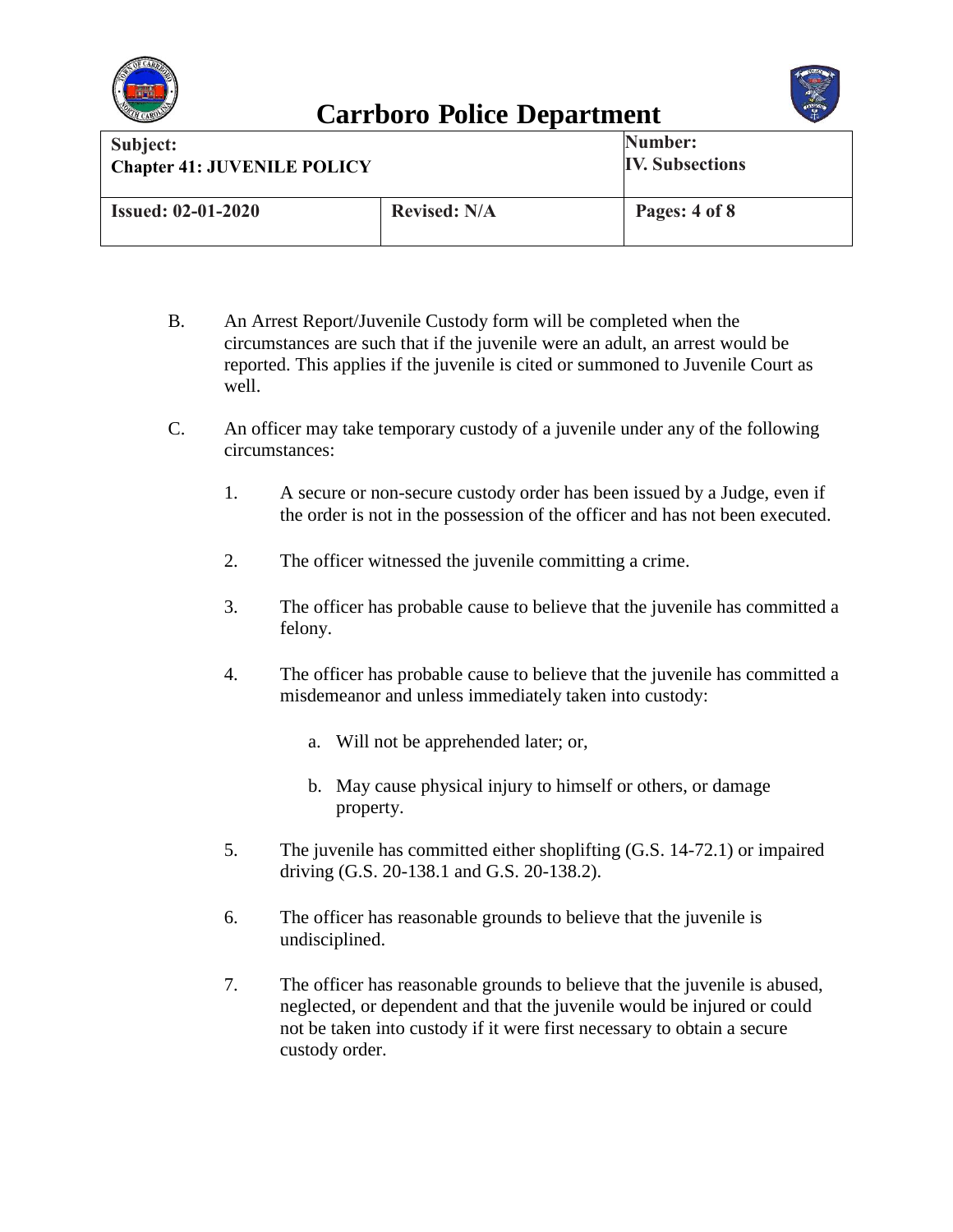



| Subject:                           |                     | Number:                |
|------------------------------------|---------------------|------------------------|
| <b>Chapter 41: JUVENILE POLICY</b> |                     | <b>IV. Subsections</b> |
|                                    |                     |                        |
| <b>Issued: 02-01-2020</b>          | <b>Revised: N/A</b> | Pages: 4 of 8          |
|                                    |                     |                        |

- B. An Arrest Report/Juvenile Custody form will be completed when the circumstances are such that if the juvenile were an adult, an arrest would be reported. This applies if the juvenile is cited or summoned to Juvenile Court as well.
- C. An officer may take temporary custody of a juvenile under any of the following circumstances:
	- 1. A secure or non-secure custody order has been issued by a Judge, even if the order is not in the possession of the officer and has not been executed.
	- 2. The officer witnessed the juvenile committing a crime.
	- 3. The officer has probable cause to believe that the juvenile has committed a felony.
	- 4. The officer has probable cause to believe that the juvenile has committed a misdemeanor and unless immediately taken into custody:
		- a. Will not be apprehended later; or,
		- b. May cause physical injury to himself or others, or damage property.
	- 5. The juvenile has committed either shoplifting (G.S. 14-72.1) or impaired driving (G.S. 20-138.1 and G.S. 20-138.2).
	- 6. The officer has reasonable grounds to believe that the juvenile is undisciplined.
	- 7. The officer has reasonable grounds to believe that the juvenile is abused, neglected, or dependent and that the juvenile would be injured or could not be taken into custody if it were first necessary to obtain a secure custody order.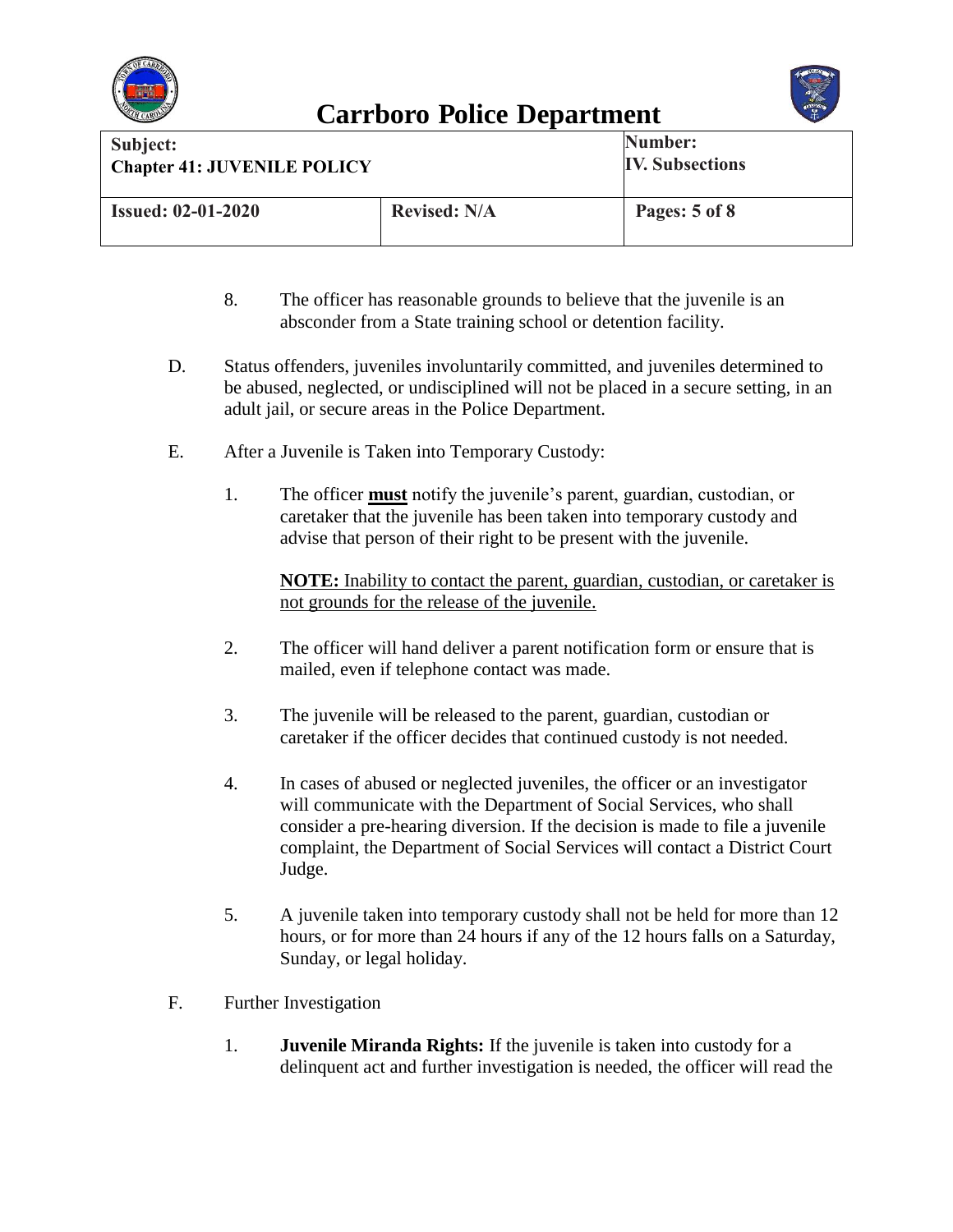



| Subject:<br><b>Chapter 41: JUVENILE POLICY</b> |                     | Number:<br><b>IV. Subsections</b> |
|------------------------------------------------|---------------------|-----------------------------------|
| <b>Issued: 02-01-2020</b>                      | <b>Revised: N/A</b> | Pages: 5 of 8                     |

- 8. The officer has reasonable grounds to believe that the juvenile is an absconder from a State training school or detention facility.
- D. Status offenders, juveniles involuntarily committed, and juveniles determined to be abused, neglected, or undisciplined will not be placed in a secure setting, in an adult jail, or secure areas in the Police Department.
- E. After a Juvenile is Taken into Temporary Custody:
	- 1. The officer **must** notify the juvenile's parent, guardian, custodian, or caretaker that the juvenile has been taken into temporary custody and advise that person of their right to be present with the juvenile.

**NOTE:** Inability to contact the parent, guardian, custodian, or caretaker is not grounds for the release of the juvenile.

- 2. The officer will hand deliver a parent notification form or ensure that is mailed, even if telephone contact was made.
- 3. The juvenile will be released to the parent, guardian, custodian or caretaker if the officer decides that continued custody is not needed.
- 4. In cases of abused or neglected juveniles, the officer or an investigator will communicate with the Department of Social Services, who shall consider a pre-hearing diversion. If the decision is made to file a juvenile complaint, the Department of Social Services will contact a District Court Judge.
- 5. A juvenile taken into temporary custody shall not be held for more than 12 hours, or for more than 24 hours if any of the 12 hours falls on a Saturday, Sunday, or legal holiday.
- F. Further Investigation
	- 1. **Juvenile Miranda Rights:** If the juvenile is taken into custody for a delinquent act and further investigation is needed, the officer will read the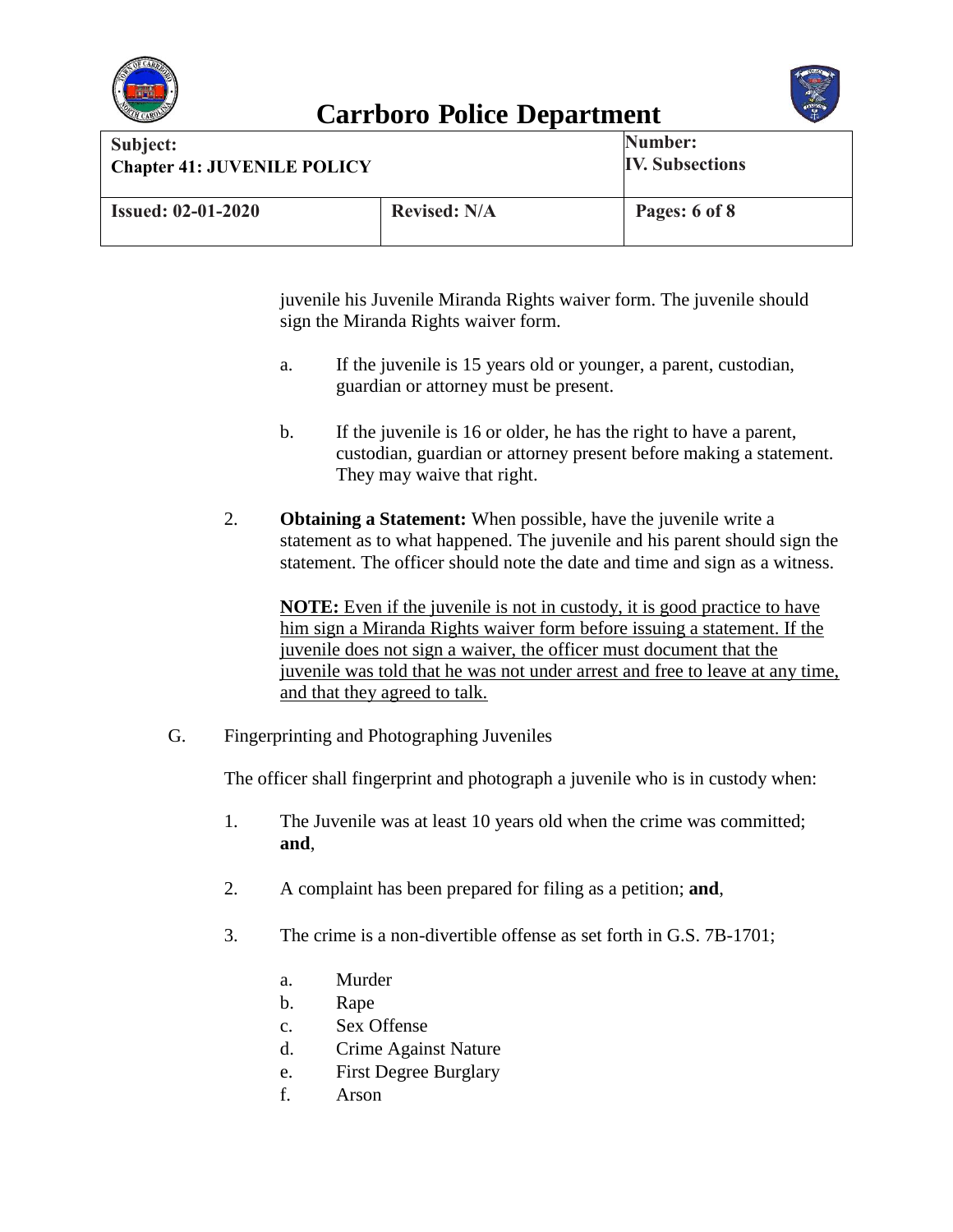



| Subject:<br><b>Chapter 41: JUVENILE POLICY</b> |                     | Number:<br><b>IV. Subsections</b> |
|------------------------------------------------|---------------------|-----------------------------------|
| <b>Issued: 02-01-2020</b>                      | <b>Revised: N/A</b> | Pages: 6 of 8                     |

juvenile his Juvenile Miranda Rights waiver form. The juvenile should sign the Miranda Rights waiver form.

- a. If the juvenile is 15 years old or younger, a parent, custodian, guardian or attorney must be present.
- b. If the juvenile is 16 or older, he has the right to have a parent, custodian, guardian or attorney present before making a statement. They may waive that right.
- 2. **Obtaining a Statement:** When possible, have the juvenile write a statement as to what happened. The juvenile and his parent should sign the statement. The officer should note the date and time and sign as a witness.

**NOTE:** Even if the juvenile is not in custody, it is good practice to have him sign a Miranda Rights waiver form before issuing a statement. If the juvenile does not sign a waiver, the officer must document that the juvenile was told that he was not under arrest and free to leave at any time, and that they agreed to talk.

G. Fingerprinting and Photographing Juveniles

The officer shall fingerprint and photograph a juvenile who is in custody when:

- 1. The Juvenile was at least 10 years old when the crime was committed; **and**,
- 2. A complaint has been prepared for filing as a petition; **and**,
- 3. The crime is a non-divertible offense as set forth in G.S. 7B-1701;
	- a. Murder
	- b. Rape
	- c. Sex Offense
	- d. Crime Against Nature
	- e. First Degree Burglary
	- f. Arson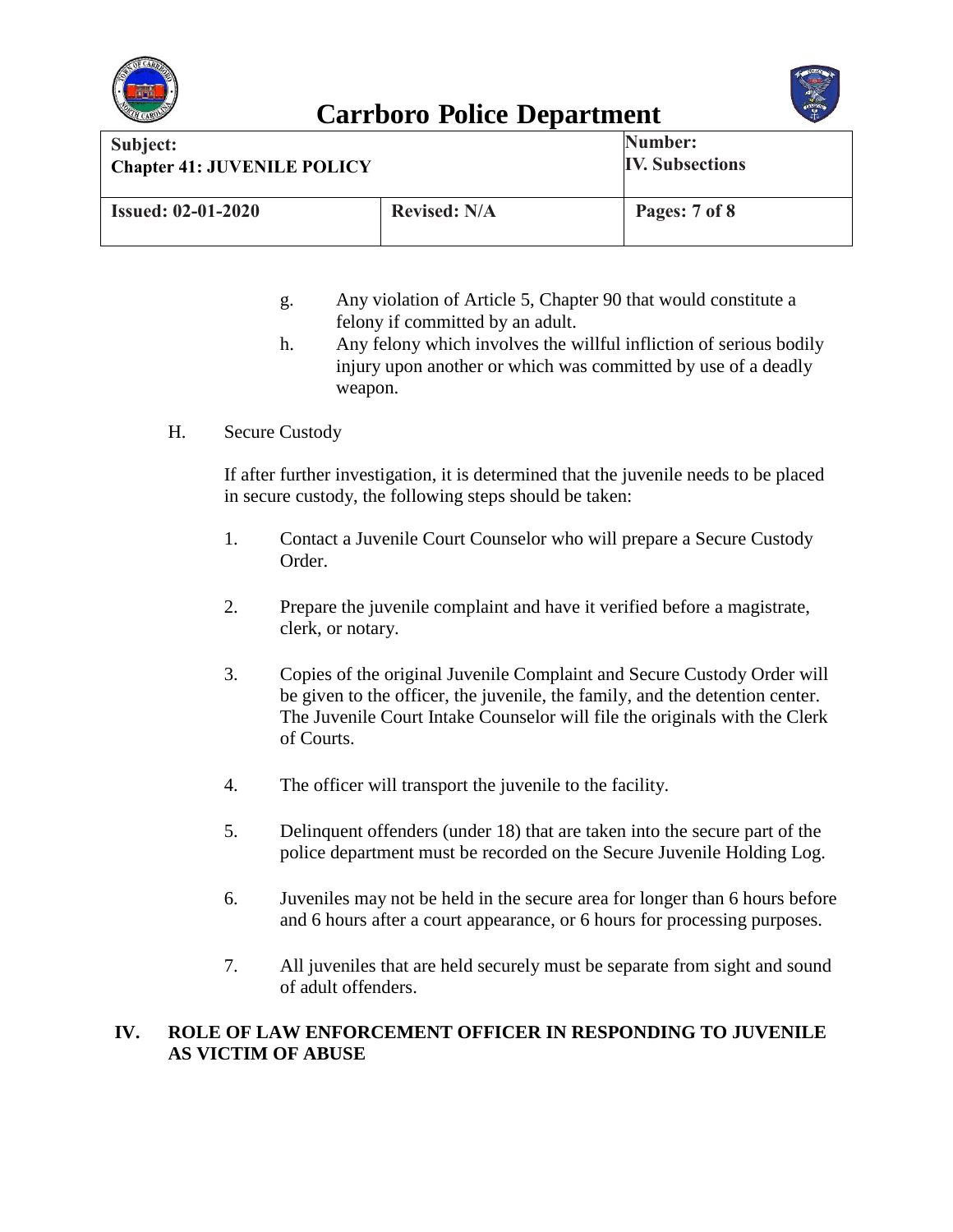



| Subject:<br><b>Chapter 41: JUVENILE POLICY</b> |                     | Number:<br><b>IV. Subsections</b> |
|------------------------------------------------|---------------------|-----------------------------------|
| <b>Issued: 02-01-2020</b>                      | <b>Revised: N/A</b> | Pages: 7 of 8                     |

- g. Any violation of Article 5, Chapter 90 that would constitute a felony if committed by an adult.
- h. Any felony which involves the willful infliction of serious bodily injury upon another or which was committed by use of a deadly weapon.
- H. Secure Custody

If after further investigation, it is determined that the juvenile needs to be placed in secure custody, the following steps should be taken:

- 1. Contact a Juvenile Court Counselor who will prepare a Secure Custody Order.
- 2. Prepare the juvenile complaint and have it verified before a magistrate, clerk, or notary.
- 3. Copies of the original Juvenile Complaint and Secure Custody Order will be given to the officer, the juvenile, the family, and the detention center. The Juvenile Court Intake Counselor will file the originals with the Clerk of Courts.
- 4. The officer will transport the juvenile to the facility.
- 5. Delinquent offenders (under 18) that are taken into the secure part of the police department must be recorded on the Secure Juvenile Holding Log.
- 6. Juveniles may not be held in the secure area for longer than 6 hours before and 6 hours after a court appearance, or 6 hours for processing purposes.
- 7. All juveniles that are held securely must be separate from sight and sound of adult offenders.

#### **IV. ROLE OF LAW ENFORCEMENT OFFICER IN RESPONDING TO JUVENILE AS VICTIM OF ABUSE**